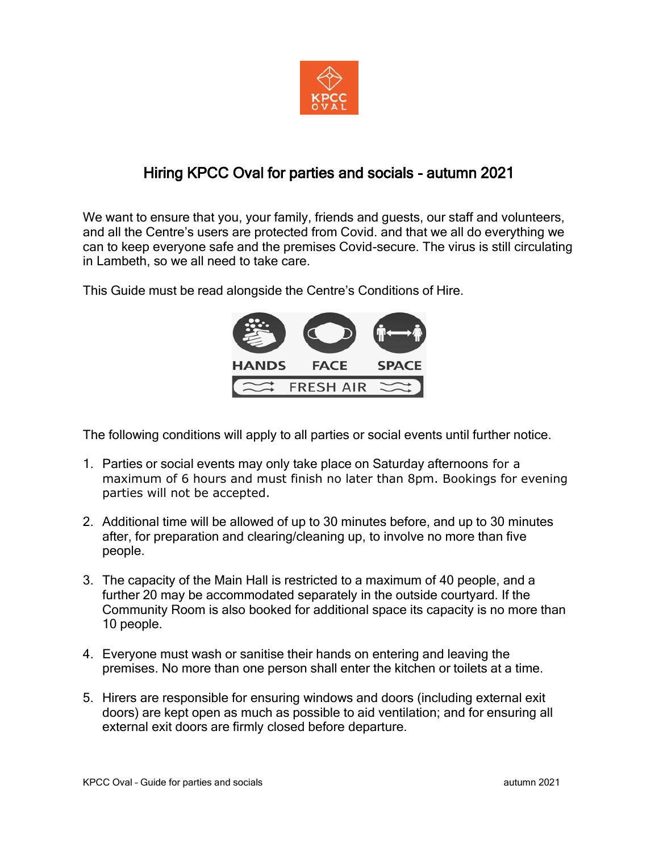

## Hiring KPCC Oval for parties and socials - autumn 2021

We want to ensure that you, your family, friends and guests, our staff and volunteers, and all the Centre's users are protected from Covid. and that we all do everything we can to keep everyone safe and the premises Covid-secure. The virus is still circulating in Lambeth, so we all need to take care.

This Guide must be read alongside the Centre's Conditions of Hire.



The following conditions will apply to all parties or social events until further notice.

- 1. Parties or social events may only take place on Saturday afternoons for a maximum of 6 hours and must finish no later than 8pm. Bookings for evening parties will not be accepted.
- 2. Additional time will be allowed of up to 30 minutes before, and up to 30 minutes after, for preparation and clearing/cleaning up, to involve no more than five people.
- 3. The capacity of the Main Hall is restricted to a maximum of 40 people, and a further 20 may be accommodated separately in the outside courtyard. If the Community Room is also booked for additional space its capacity is no more than 10 people.
- 4. Everyone must wash or sanitise their hands on entering and leaving the premises. No more than one person shall enter the kitchen or toilets at a time.
- 5. Hirers are responsible for ensuring windows and doors (including external exit doors) are kept open as much as possible to aid ventilation; and for ensuring all external exit doors are firmly closed before departure.